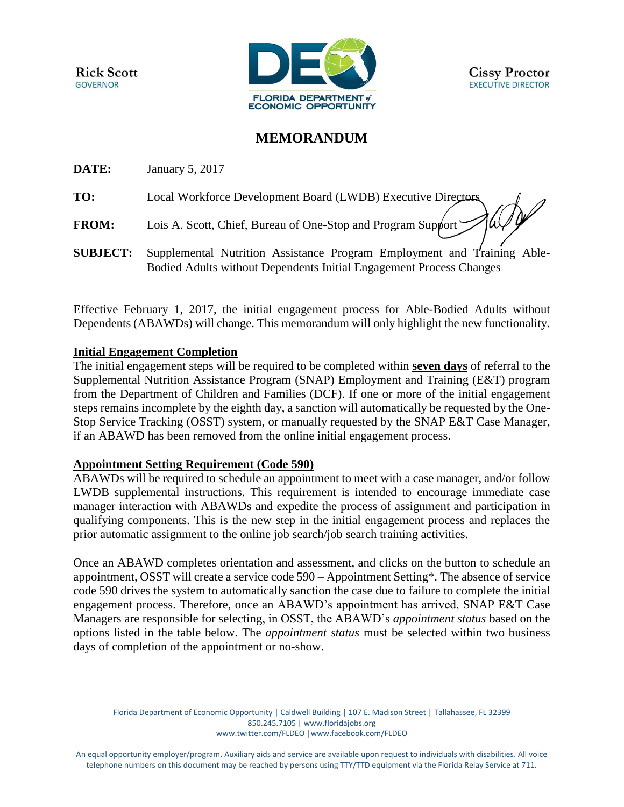**Rick Scott GOVERNOR** 



## **MEMORANDUM**

**DATE:** January 5, 2017

**TO:** Local Workforce Development Board (LWDB) Executive Directors

**FROM:** Lois A. Scott, Chief, Bureau of One-Stop and Program Support

**SUBJECT:** Supplemental Nutrition Assistance Program Employment and Training Able-Bodied Adults without Dependents Initial Engagement Process Changes

Effective February 1, 2017, the initial engagement process for Able-Bodied Adults without Dependents (ABAWDs) will change. This memorandum will only highlight the new functionality.

## **Initial Engagement Completion**

The initial engagement steps will be required to be completed within **seven days** of referral to the Supplemental Nutrition Assistance Program (SNAP) Employment and Training (E&T) program from the Department of Children and Families (DCF). If one or more of the initial engagement steps remains incomplete by the eighth day, a sanction will automatically be requested by the One-Stop Service Tracking (OSST) system, or manually requested by the SNAP E&T Case Manager, if an ABAWD has been removed from the online initial engagement process.

## **Appointment Setting Requirement (Code 590)**

ABAWDs will be required to schedule an appointment to meet with a case manager, and/or follow LWDB supplemental instructions. This requirement is intended to encourage immediate case manager interaction with ABAWDs and expedite the process of assignment and participation in qualifying components. This is the new step in the initial engagement process and replaces the prior automatic assignment to the online job search/job search training activities.

Once an ABAWD completes orientation and assessment, and clicks on the button to schedule an appointment, OSST will create a service code 590 – Appointment Setting\*. The absence of service code 590 drives the system to automatically sanction the case due to failure to complete the initial engagement process. Therefore, once an ABAWD's appointment has arrived, SNAP E&T Case Managers are responsible for selecting, in OSST, the ABAWD's *appointment status* based on the options listed in the table below. The *appointment status* must be selected within two business days of completion of the appointment or no-show.

Florida Department of Economic Opportunity | Caldwell Building | 107 E. Madison Street | Tallahassee, FL 32399 850.245.7105 [| www.floridajobs.org](http://www.floridajobs.org/) [www.twitter.com/FLDEO](http://www.twitter.com/FLDEO) |www.facebook.com/FLDEO

An equal opportunity employer/program. Auxiliary aids and service are available upon request to individuals with disabilities. All voice telephone numbers on this document may be reached by persons using TTY/TTD equipment via the Florida Relay Service at 711.